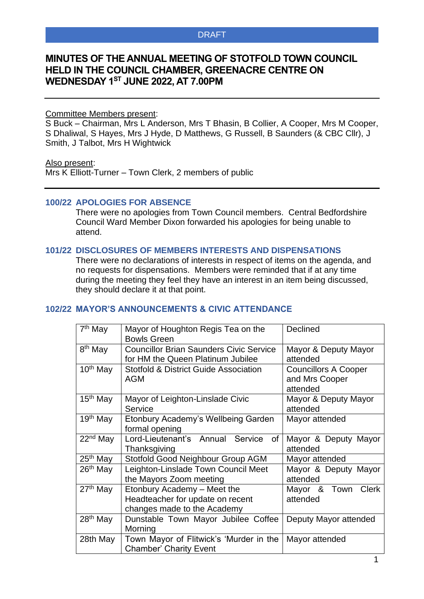## DRAFT

# **MINUTES OF THE ANNUAL MEETING OF STOTFOLD TOWN COUNCIL HELD IN THE COUNCIL CHAMBER, GREENACRE CENTRE ON WEDNESDAY 1 ST JUNE 2022, AT 7.00PM**

#### Committee Members present:

S Buck – Chairman, Mrs L Anderson, Mrs T Bhasin, B Collier, A Cooper, Mrs M Cooper, S Dhaliwal, S Hayes, Mrs J Hyde, D Matthews, G Russell, B Saunders (& CBC Cllr), J Smith, J Talbot, Mrs H Wightwick

#### Also present:

Mrs K Elliott-Turner – Town Clerk, 2 members of public

## **100/22 APOLOGIES FOR ABSENCE**

There were no apologies from Town Council members. Central Bedfordshire Council Ward Member Dixon forwarded his apologies for being unable to attend.

#### **101/22 DISCLOSURES OF MEMBERS INTERESTS AND DISPENSATIONS**

There were no declarations of interests in respect of items on the agenda, and no requests for dispensations. Members were reminded that if at any time during the meeting they feel they have an interest in an item being discussed, they should declare it at that point.

## **102/22 MAYOR'S ANNOUNCEMENTS & CIVIC ATTENDANCE**

| 7 <sup>th</sup> May  | Mayor of Houghton Regis Tea on the<br><b>Bowls Green</b>                                       | Declined                                                  |  |  |
|----------------------|------------------------------------------------------------------------------------------------|-----------------------------------------------------------|--|--|
| 8 <sup>th</sup> May  | <b>Councillor Brian Saunders Civic Service</b><br>for HM the Queen Platinum Jubilee            | Mayor & Deputy Mayor<br>attended                          |  |  |
| $10th$ May           | <b>Stotfold &amp; District Guide Association</b><br><b>AGM</b>                                 | <b>Councillors A Cooper</b><br>and Mrs Cooper<br>attended |  |  |
| 15 <sup>th</sup> May | Mayor of Leighton-Linslade Civic<br>Service                                                    | Mayor & Deputy Mayor<br>attended                          |  |  |
| 19 <sup>th</sup> May | Etonbury Academy's Wellbeing Garden<br>formal opening                                          | Mayor attended                                            |  |  |
| 22 <sup>nd</sup> May | Lord-Lieutenant's Annual Service<br>of<br>Thanksgiving                                         | Mayor & Deputy Mayor<br>attended                          |  |  |
| 25 <sup>th</sup> May | Stotfold Good Neighbour Group AGM                                                              | Mayor attended                                            |  |  |
| $26th$ May           | Leighton-Linslade Town Council Meet<br>the Mayors Zoom meeting                                 | Mayor & Deputy Mayor<br>attended                          |  |  |
| 27 <sup>th</sup> May | Etonbury Academy - Meet the<br>Headteacher for update on recent<br>changes made to the Academy | Mayor & Town<br><b>Clerk</b><br>attended                  |  |  |
| 28 <sup>th</sup> May | Dunstable Town Mayor Jubilee Coffee<br>Morning                                                 | Deputy Mayor attended                                     |  |  |
| 28th May             | Town Mayor of Flitwick's 'Murder in the<br><b>Chamber' Charity Event</b>                       | Mayor attended                                            |  |  |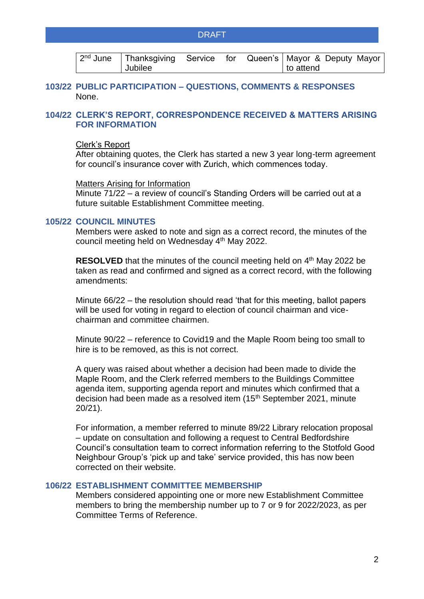### DRAFT

|         |  | 2 <sup>nd</sup> June   Thanksgiving Service for Queen's   Mayor & Deputy Mayor |
|---------|--|--------------------------------------------------------------------------------|
| Jubilee |  | to attend                                                                      |

### **103/22 PUBLIC PARTICIPATION – QUESTIONS, COMMENTS & RESPONSES** None.

## **104/22 CLERK'S REPORT, CORRESPONDENCE RECEIVED & MATTERS ARISING FOR INFORMATION**

### Clerk's Report

After obtaining quotes, the Clerk has started a new 3 year long-term agreement for council's insurance cover with Zurich, which commences today.

#### Matters Arising for Information

Minute 71/22 – a review of council's Standing Orders will be carried out at a future suitable Establishment Committee meeting.

#### **105/22 COUNCIL MINUTES**

Members were asked to note and sign as a correct record, the minutes of the council meeting held on Wednesday 4<sup>th</sup> May 2022.

**RESOLVED** that the minutes of the council meeting held on 4<sup>th</sup> May 2022 be taken as read and confirmed and signed as a correct record, with the following amendments:

Minute 66/22 – the resolution should read 'that for this meeting, ballot papers will be used for voting in regard to election of council chairman and vicechairman and committee chairmen.

Minute 90/22 – reference to Covid19 and the Maple Room being too small to hire is to be removed, as this is not correct.

A query was raised about whether a decision had been made to divide the Maple Room, and the Clerk referred members to the Buildings Committee agenda item, supporting agenda report and minutes which confirmed that a decision had been made as a resolved item (15<sup>th</sup> September 2021, minute 20/21).

For information, a member referred to minute 89/22 Library relocation proposal – update on consultation and following a request to Central Bedfordshire Council's consultation team to correct information referring to the Stotfold Good Neighbour Group's 'pick up and take' service provided, this has now been corrected on their website.

#### **106/22 ESTABLISHMENT COMMITTEE MEMBERSHIP**

Members considered appointing one or more new Establishment Committee members to bring the membership number up to 7 or 9 for 2022/2023, as per Committee Terms of Reference.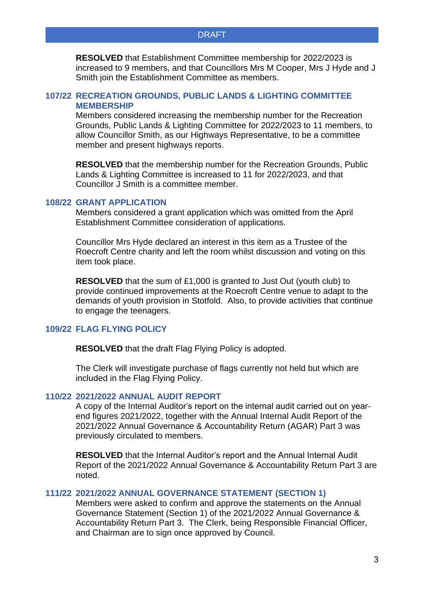**RESOLVED** that Establishment Committee membership for 2022/2023 is increased to 9 members, and that Councillors Mrs M Cooper, Mrs J Hyde and J Smith join the Establishment Committee as members.

## **107/22 RECREATION GROUNDS, PUBLIC LANDS & LIGHTING COMMITTEE MEMBERSHIP**

Members considered increasing the membership number for the Recreation Grounds, Public Lands & Lighting Committee for 2022/2023 to 11 members, to allow Councillor Smith, as our Highways Representative, to be a committee member and present highways reports.

**RESOLVED** that the membership number for the Recreation Grounds, Public Lands & Lighting Committee is increased to 11 for 2022/2023, and that Councillor J Smith is a committee member.

#### **108/22 GRANT APPLICATION**

Members considered a grant application which was omitted from the April Establishment Committee consideration of applications.

Councillor Mrs Hyde declared an interest in this item as a Trustee of the Roecroft Centre charity and left the room whilst discussion and voting on this item took place.

**RESOLVED** that the sum of £1,000 is granted to Just Out (youth club) to provide continued improvements at the Roecroft Centre venue to adapt to the demands of youth provision in Stotfold. Also, to provide activities that continue to engage the teenagers.

### **109/22 FLAG FLYING POLICY**

**RESOLVED** that the draft Flag Flying Policy is adopted.

The Clerk will investigate purchase of flags currently not held but which are included in the Flag Flying Policy.

### **110/22 2021/2022 ANNUAL AUDIT REPORT**

A copy of the Internal Auditor's report on the internal audit carried out on yearend figures 2021/2022, together with the Annual Internal Audit Report of the 2021/2022 Annual Governance & Accountability Return (AGAR) Part 3 was previously circulated to members.

**RESOLVED** that the Internal Auditor's report and the Annual Internal Audit Report of the 2021/2022 Annual Governance & Accountability Return Part 3 are noted.

### **111/22 2021/2022 ANNUAL GOVERNANCE STATEMENT (SECTION 1)**

Members were asked to confirm and approve the statements on the Annual Governance Statement (Section 1) of the 2021/2022 Annual Governance & Accountability Return Part 3. The Clerk, being Responsible Financial Officer, and Chairman are to sign once approved by Council.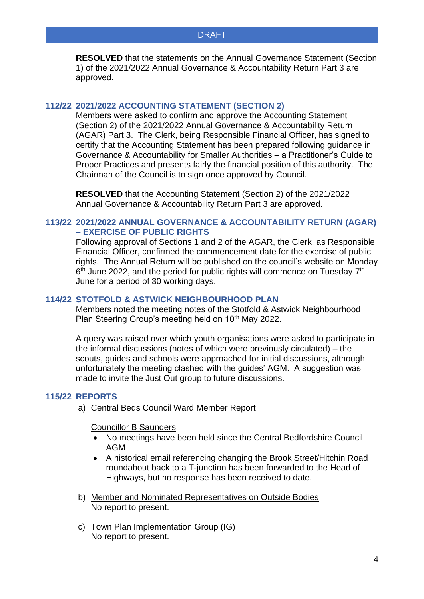**RESOLVED** that the statements on the Annual Governance Statement (Section 1) of the 2021/2022 Annual Governance & Accountability Return Part 3 are approved.

## **112/22 2021/2022 ACCOUNTING STATEMENT (SECTION 2)**

Members were asked to confirm and approve the Accounting Statement (Section 2) of the 2021/2022 Annual Governance & Accountability Return (AGAR) Part 3. The Clerk, being Responsible Financial Officer, has signed to certify that the Accounting Statement has been prepared following guidance in Governance & Accountability for Smaller Authorities – a Practitioner's Guide to Proper Practices and presents fairly the financial position of this authority. The Chairman of the Council is to sign once approved by Council.

**RESOLVED** that the Accounting Statement (Section 2) of the 2021/2022 Annual Governance & Accountability Return Part 3 are approved.

## **113/22 2021/2022 ANNUAL GOVERNANCE & ACCOUNTABILITY RETURN (AGAR) – EXERCISE OF PUBLIC RIGHTS**

Following approval of Sections 1 and 2 of the AGAR, the Clerk, as Responsible Financial Officer, confirmed the commencement date for the exercise of public rights. The Annual Return will be published on the council's website on Monday 6<sup>th</sup> June 2022, and the period for public rights will commence on Tuesday 7<sup>th</sup> June for a period of 30 working days.

## **114/22 STOTFOLD & ASTWICK NEIGHBOURHOOD PLAN**

Members noted the meeting notes of the Stotfold & Astwick Neighbourhood Plan Steering Group's meeting held on 10<sup>th</sup> May 2022.

A query was raised over which youth organisations were asked to participate in the informal discussions (notes of which were previously circulated) – the scouts, guides and schools were approached for initial discussions, although unfortunately the meeting clashed with the guides' AGM. A suggestion was made to invite the Just Out group to future discussions.

### **115/22 REPORTS**

a) Central Beds Council Ward Member Report

Councillor B Saunders

- No meetings have been held since the Central Bedfordshire Council AGM
- A historical email referencing changing the Brook Street/Hitchin Road roundabout back to a T-junction has been forwarded to the Head of Highways, but no response has been received to date.
- b) Member and Nominated Representatives on Outside Bodies No report to present.
- c) Town Plan Implementation Group (IG) No report to present.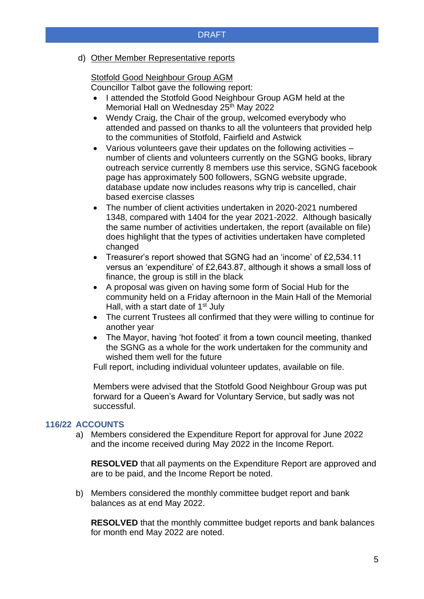## DRAFT

### d) Other Member Representative reports

# Stotfold Good Neighbour Group AGM

Councillor Talbot gave the following report:

- I attended the Stotfold Good Neighbour Group AGM held at the Memorial Hall on Wednesday 25<sup>th</sup> May 2022
- Wendy Craig, the Chair of the group, welcomed everybody who attended and passed on thanks to all the volunteers that provided help to the communities of Stotfold, Fairfield and Astwick
- Various volunteers gave their updates on the following activities number of clients and volunteers currently on the SGNG books, library outreach service currently 8 members use this service, SGNG facebook page has approximately 500 followers, SGNG website upgrade, database update now includes reasons why trip is cancelled, chair based exercise classes
- The number of client activities undertaken in 2020-2021 numbered 1348, compared with 1404 for the year 2021-2022. Although basically the same number of activities undertaken, the report (available on file) does highlight that the types of activities undertaken have completed changed
- Treasurer's report showed that SGNG had an 'income' of £2,534.11 versus an 'expenditure' of £2,643.87, although it shows a small loss of finance, the group is still in the black
- A proposal was given on having some form of Social Hub for the community held on a Friday afternoon in the Main Hall of the Memorial Hall, with a start date of  $1<sup>st</sup>$  July
- The current Trustees all confirmed that they were willing to continue for another year
- The Mayor, having 'hot footed' it from a town council meeting, thanked the SGNG as a whole for the work undertaken for the community and wished them well for the future

Full report, including individual volunteer updates, available on file.

Members were advised that the Stotfold Good Neighbour Group was put forward for a Queen's Award for Voluntary Service, but sadly was not successful.

### **116/22 ACCOUNTS**

a) Members considered the Expenditure Report for approval for June 2022 and the income received during May 2022 in the Income Report.

**RESOLVED** that all payments on the Expenditure Report are approved and are to be paid, and the Income Report be noted.

b) Members considered the monthly committee budget report and bank balances as at end May 2022.

**RESOLVED** that the monthly committee budget reports and bank balances for month end May 2022 are noted.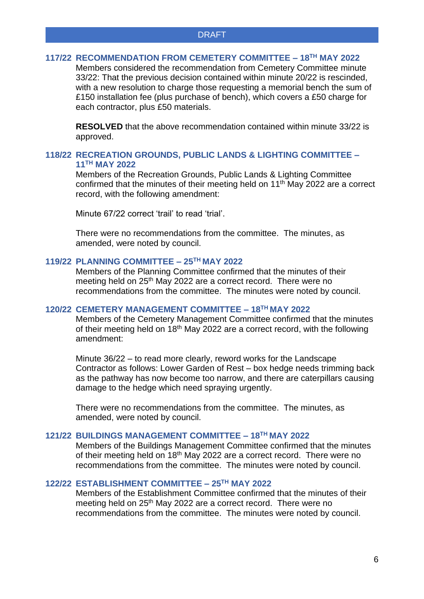#### **117/22 RECOMMENDATION FROM CEMETERY COMMITTEE – 18TH MAY 2022**

Members considered the recommendation from Cemetery Committee minute 33/22: That the previous decision contained within minute 20/22 is rescinded, with a new resolution to charge those requesting a memorial bench the sum of £150 installation fee (plus purchase of bench), which covers a £50 charge for each contractor, plus £50 materials.

**RESOLVED** that the above recommendation contained within minute 33/22 is approved.

## **118/22 RECREATION GROUNDS, PUBLIC LANDS & LIGHTING COMMITTEE – 11TH MAY 2022**

Members of the Recreation Grounds, Public Lands & Lighting Committee confirmed that the minutes of their meeting held on 11<sup>th</sup> May 2022 are a correct record, with the following amendment:

Minute 67/22 correct 'trail' to read 'trial'.

There were no recommendations from the committee. The minutes, as amended, were noted by council.

## **119/22 PLANNING COMMITTEE – 25TH MAY 2022**

Members of the Planning Committee confirmed that the minutes of their meeting held on 25<sup>th</sup> May 2022 are a correct record. There were no recommendations from the committee. The minutes were noted by council.

## **120/22 CEMETERY MANAGEMENT COMMITTEE – 18TH MAY 2022**

Members of the Cemetery Management Committee confirmed that the minutes of their meeting held on 18<sup>th</sup> May 2022 are a correct record, with the following amendment:

Minute 36/22 – to read more clearly, reword works for the Landscape Contractor as follows: Lower Garden of Rest – box hedge needs trimming back as the pathway has now become too narrow, and there are caterpillars causing damage to the hedge which need spraying urgently.

There were no recommendations from the committee. The minutes, as amended, were noted by council.

# **121/22 BUILDINGS MANAGEMENT COMMITTEE – 18TH MAY 2022**

Members of the Buildings Management Committee confirmed that the minutes of their meeting held on 18<sup>th</sup> May 2022 are a correct record. There were no recommendations from the committee. The minutes were noted by council.

# **122/22 ESTABLISHMENT COMMITTEE – 25TH MAY 2022**

Members of the Establishment Committee confirmed that the minutes of their meeting held on 25<sup>th</sup> May 2022 are a correct record. There were no recommendations from the committee. The minutes were noted by council.